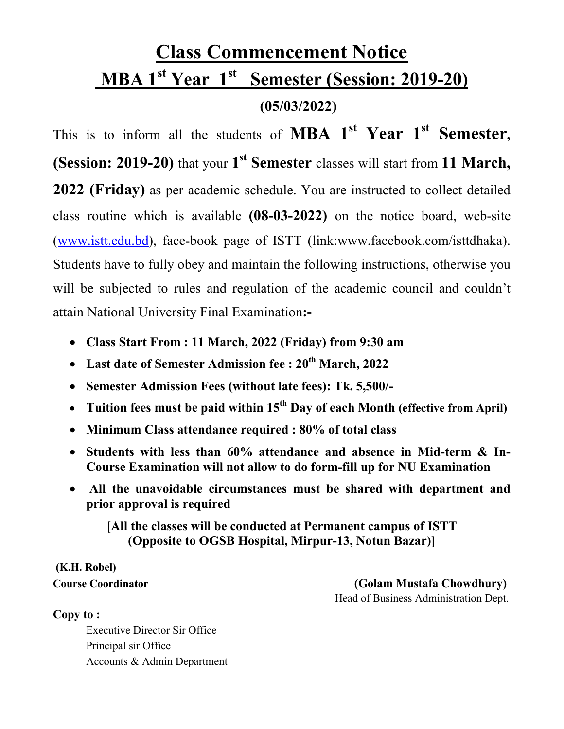## **Class Commencement Notice MBA 1st Year 1st Semester (Session: 2019-20) (05/03/2022)**

This is to inform all the students of **MBA 1<sup>st</sup>** Year 1<sup>st</sup> Semester. **(Session: 2019-20)** that your 1<sup>st</sup> Semester classes will start from 11 March, **2022 (Friday)** as per academic schedule. You are instructed to collect detailed class routine which is available **(08-03-2022)** on the notice board, web-site (www.istt.edu.bd), face-book page of ISTT (link:www.facebook.com/isttdhaka). Students have to fully obey and maintain the following instructions, otherwise you will be subjected to rules and regulation of the academic council and couldn't attain National University Final Examination**:-**

- **Class Start From : 11 March, 2022 (Friday) from 9:30 am**
- **Last date of Semester Admission fee : 20th March, 2022**
- **Semester Admission Fees (without late fees): Tk. 5,500/-**
- Tuition fees must be paid within 15<sup>th</sup> Day of each Month (effective from April)
- **Minimum Class attendance required : 80% of total class**
- **Students with less than 60% attendance and absence in Mid-term & In-Course Examination will not allow to do form-fill up for NU Examination**
- • **All the unavoidable circumstances must be shared with department and prior approval is required**

**[All the classes will be conducted at Permanent campus of ISTT (Opposite to OGSB Hospital, Mirpur-13, Notun Bazar)]**

# **(K.H. Robel)**

**Course Coordinator (Golam Mustafa Chowdhury)**  Head of Business Administration Dept.

#### **Copy to :**

Executive Director Sir Office Principal sir Office Accounts & Admin Department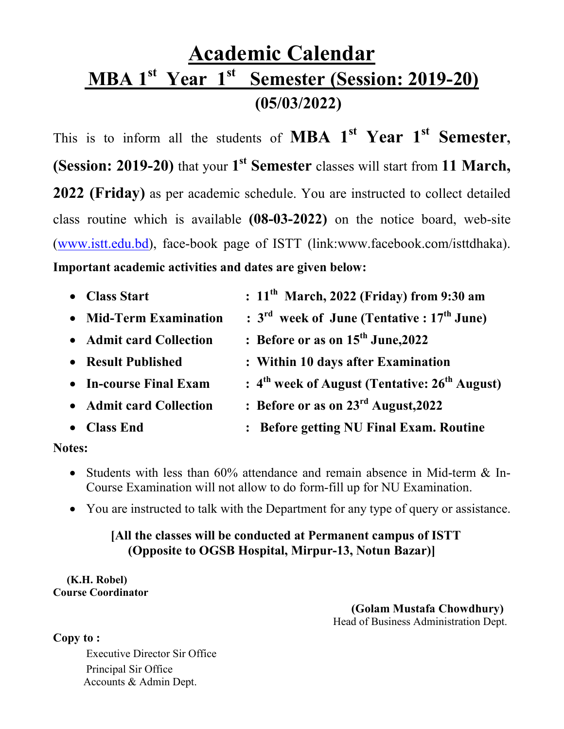## **Academic Calendar MBA 1st Year 1st Semester (Session: 2019-20) (05/03/2022)**

This is to inform all the students of **MBA**  $1^{st}$  **Year**  $1^{st}$  **Semester**, **(Session: 2019-20)** that your 1<sup>st</sup> Semester classes will start from 11 March, **2022 (Friday)** as per academic schedule. You are instructed to collect detailed class routine which is available **(08-03-2022)** on the notice board, web-site (www.istt.edu.bd), face-book page of ISTT (link:www.facebook.com/isttdhaka). **Important academic activities and dates are given below:**

| • Class Start           | $: 11th$ March, 2022 (Friday) from 9:30 am               |
|-------------------------|----------------------------------------------------------|
| • Mid-Term Examination  | $: 3rd$ week of June (Tentative : 17 <sup>th</sup> June) |
| • Admit card Collection | : Before or as on $15th$ June, 2022                      |
| • Result Published      | : Within 10 days after Examination                       |
| • In-course Final Exam  | $: 4th$ week of August (Tentative: $26th$ August)        |
| • Admit card Collection | : Before or as on $23rd$ August, 2022                    |
| • Class End             | : Before getting NU Final Exam. Routine                  |
|                         |                                                          |

#### **Notes:**

- Students with less than 60% attendance and remain absence in Mid-term & In-Course Examination will not allow to do form-fill up for NU Examination.
- You are instructed to talk with the Department for any type of query or assistance.

#### **[All the classes will be conducted at Permanent campus of ISTT (Opposite to OGSB Hospital, Mirpur-13, Notun Bazar)]**

 **(K.H. Robel) Course Coordinator** 

> **(Golam Mustafa Chowdhury)** Head of Business Administration Dept.

**Copy to :** 

Executive Director Sir Office Principal Sir Office Accounts & Admin Dept.